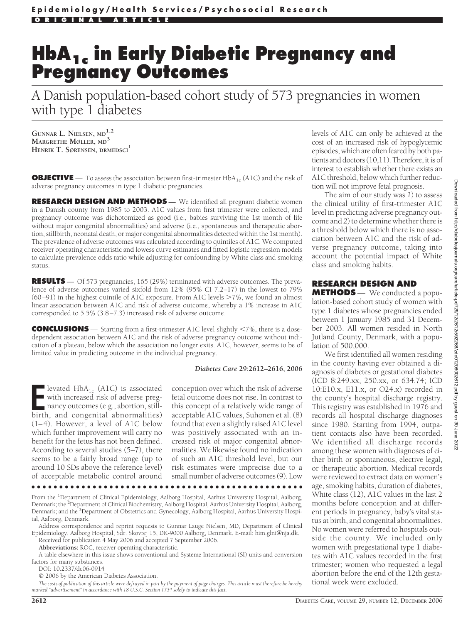# **HbA1c in Early Diabetic Pregnancy and Pregnancy Outcomes**

A Danish population-based cohort study of 573 pregnancies in women with type 1 diabetes

**GUNNAR L. NIELSEN, MD1,2 MARGRETHE MØLLER, MD<sup>3</sup> HENRIK T. SØRENSEN, DRMEDSCI<sup>1</sup>**

**OBJECTIVE** — To assess the association between first-trimester HbA<sub>1c</sub> (A1C) and the risk of adverse pregnancy outcomes in type 1 diabetic pregnancies.

**RESEARCH DESIGN AND METHODS** — We identified all pregnant diabetic women in a Danish county from 1985 to 2003. A1C values from first trimester were collected, and pregnancy outcome was dichotomized as good (i.e., babies surviving the 1st month of life without major congenital abnormalities) and adverse (i.e., spontaneous and therapeutic abortion, stillbirth, neonatal death, or major congenital abnormalities detected within the 1st month). The prevalence of adverse outcomes was calculated according to quintiles of A1C. We computed receiver operating characteristic and lowess curve estimates and fitted logistic regression models to calculate prevalence odds ratio while adjusting for confounding by White class and smoking status.

**RESULTS** — Of 573 pregnancies, 165 (29%) terminated with adverse outcomes. The prevalence of adverse outcomes varied sixfold from 12% (95% CI 7.2–17) in the lowest to 79% (60–91) in the highest quintile of A1C exposure. From A1C levels 7%, we found an almost linear association between A1C and risk of adverse outcome, whereby a 1% increase in A1C corresponded to 5.5% (3.8–7.3) increased risk of adverse outcome.

**CONCLUSIONS** — Starting from a first-trimester A1C level slightly <7%, there is a dosedependent association between A1C and the risk of adverse pregnancy outcome without indication of a plateau, below which the association no longer exits. A1C, however, seems to be of limited value in predicting outcome in the individual pregnancy.

### *Diabetes Care* **29:2612–2616, 2006**

**E** levated HbA<sub>1c</sub> (A1C) is associated with increased risk of adverse pregnancy outcomes (e.g., abortion, still-birth, and congenital abnormalities) levated  $HbA_{1c}$  (A1C) is associated with increased risk of adverse pregnancy outcomes (e.g., abortion, still-(1–4). However, a level of A1C below which further improvement will carry no benefit for the fetus has not been defined. According to several studies (5–7), there seems to be a fairly broad range (up to around 10 SDs above the reference level) of acceptable metabolic control around

conception over which the risk of adverse fetal outcome does not rise. In contrast to this concept of a relatively wide range of acceptable A1C values, Suhonen et al. (8) found that even a slightly raised A1C level was positively associated with an increased risk of major congenital abnormalities. We likewise found no indication of such an A1C threshold level, but our risk estimates were imprecise due to a small number of adverse outcomes (9). Low

●●●●●●●●●●●●●●●●●●●●●●●●●●●●●●●●●●●●●●●●●●●●●●●●●

From the <sup>1</sup>Department of Clinical Epidemiology, Aalborg Hospital, Aarhus University Hospital, Aalborg, Denmark; the <sup>2</sup>Department of Clinical Biochemistry, Aalborg Hospital, Aarhus University Hospital, Aalborg, Denmark; and the <sup>3</sup>Department of Obstetrics and Gynecology, Aalborg Hospital, Aarhus University Hospital, Aalborg, Denmark.

Address correspondence and reprint requests to Gunnar Lauge Nielsen, MD, Department of Clinical Epidemiology, Aalborg Hospital, Sdr. Skovrej 15, DK-9000 Aalborg, Denmark. E-mail: him.glni@nja.dk. Received for publication 4 May 2006 and accepted 7 September 2006.

**Abbreviations:** ROC, receiver operating characteristic.

A table elsewhere in this issue shows conventional and Système International (SI) units and conversion factors for many substances.

DOI: 10.2337/dc06-0914

© 2006 by the American Diabetes Association.

*The costs of publication of this article were defrayed in part by the payment of page charges. This article must therefore be hereby marked "advertisement" in accordance with 18 U.S.C. Section 1734 solely to indicate this fact.*

levels of A1C can only be achieved at the cost of an increased risk of hypoglycemic episodes, which are often feared by both patients and doctors (10,11). Therefore, it is of interest to establish whether there exists an A1C threshold, below which further reduction will not improve fetal prognosis.

The aim of our study was *1*) to assess the clinical utility of first-trimester A1C level in predicting adverse pregnancy outcome and *2*) to determine whether there is a threshold below which there is no association between A1C and the risk of adverse pregnancy outcome, taking into account the potential impact of White class and smoking habits.

# **RESEARCH DESIGN AND**

**METHODS** — We conducted a population-based cohort study of women with type 1 diabetes whose pregnancies ended between 1 January 1985 and 31 December 2003. All women resided in North Jutland County, Denmark, with a population of 500,000.

We first identified all women residing in the county having ever obtained a diagnosis of diabetes or gestational diabetes (ICD 8:249.xx, 250.xx, or 634.74; ICD 10:E10.x, E11.x, or O24.x) recorded in the county's hospital discharge registry. This registry was established in 1976 and records all hospital discharge diagnoses since 1980. Starting from 1994, outpatient contacts also have been recorded. We identified all discharge records among these women with diagnoses of either birth or spontaneous, elective legal, or therapeutic abortion. Medical records were reviewed to extract data on women's age, smoking habits, duration of diabetes, White class (12), A1C values in the last 2 months before conception and at different periods in pregnancy, baby's vital status at birth, and congenital abnormalities. No women were referred to hospitals outside the county. We included only women with pregestational type 1 diabetes with A1C values recorded in the first trimester; women who requested a legal abortion before the end of the 12th gestational week were excluded.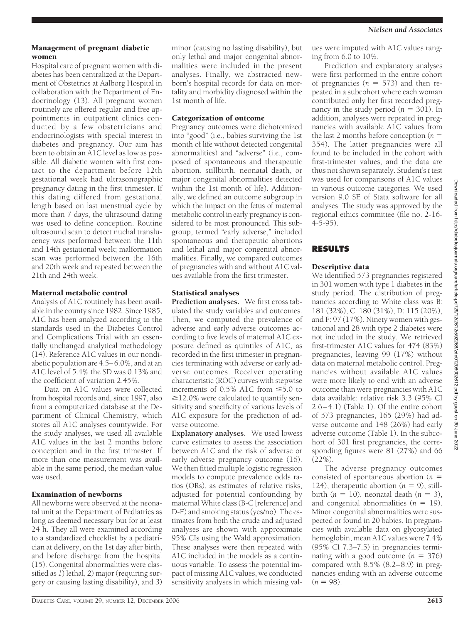*Nielsen and Associates*

## Management of pregnant diabetic women

Hospital care of pregnant women with diabetes has been centralized at the Department of Obstetrics at Aalborg Hospital in collaboration with the Department of Endocrinology (13). All pregnant women routinely are offered regular and free appointments in outpatient clinics conducted by a few obstetricians and endocrinologists with special interest in diabetes and pregnancy. Our aim has been to obtain an A1C level as low as possible. All diabetic women with first contact to the department before 12th gestational week had ultrasonographic pregnancy dating in the first trimester. If this dating differed from gestational length based on last menstrual cycle by more than 7 days, the ultrasound dating was used to define conception. Routine ultrasound scan to detect nuchal translucency was performed between the 11th and 14th gestational week; malformation scan was performed between the 16th and 20th week and repeated between the 21th and 24th week.

### Maternal metabolic control

Analysis of A1C routinely has been available in the county since 1982. Since 1985, A1C has been analyzed according to the standards used in the Diabetes Control and Complications Trial with an essentially unchanged analytical methodology (14). Reference A1C values in our nondiabetic population are 4.5–6.0%, and at an A1C level of 5.4% the SD was 0.13% and the coefficient of variation 2.45%.

Data on A1C values were collected from hospital records and, since 1997, also from a computerized database at the Department of Clinical Chemistry, which stores all A1C analyses countywide. For the study analyses, we used all available A1C values in the last 2 months before conception and in the first trimester. If more than one measurement was available in the same period, the median value was used.

#### Examination of newborns

All newborns were observed at the neonatal unit at the Department of Pediatrics as long as deemed necessary but for at least 24 h. They all were examined according to a standardized checklist by a pediatrician at delivery, on the 1st day after birth, and before discharge from the hospital (15). Congenital abnormalities were classified as *1*) lethal, *2*) major (requiring surgery or causing lasting disability), and *3*) minor (causing no lasting disability), but only lethal and major congenital abnormalities were included in the present analyses. Finally, we abstracted newborn's hospital records for data on mortality and morbidity diagnosed within the 1st month of life.

#### Categorization of outcome

Pregnancy outcomes were dichotomized into "good" (i.e., babies surviving the 1st month of life without detected congenital abnormalities) and "adverse" (i.e., composed of spontaneous and therapeutic abortion, stillbirth, neonatal death, or major congenital abnormalities detected within the 1st month of life). Additionally, we defined an outcome subgroup in which the impact on the fetus of maternal metabolic control in early pregnancy is considered to be most pronounced. This subgroup, termed "early adverse," included spontaneous and therapeutic abortions and lethal and major congenital abnormalities. Finally, we compared outcomes of pregnancies with and without A1C values available from the first trimester.

## Statistical analyses

**Prediction analyses.** We first cross tabulated the study variables and outcomes. Then, we computed the prevalence of adverse and early adverse outcomes according to five levels of maternal A1C exposure defined as quintiles of A1C, as recorded in the first trimester in pregnancies terminating with adverse or early adverse outcomes. Receiver operating characteristic (ROC) curves with stepwise increments of 0.5% A1C from  $\leq 5.0$  to ≥12.0% were calculated to quantify sensitivity and specificity of various levels of A1C exposure for the prediction of adverse outcome.

**Explanatory analyses.** We used lowess curve estimates to assess the association between A1C and the risk of adverse or early adverse pregnancy outcome (16). We then fitted multiple logistic regression models to compute prevalence odds ratios (ORs), as estimates of relative risks, adjusted for potential confounding by maternal White class (B-C [reference] and D-F) and smoking status (yes/no). The estimates from both the crude and adjusted analyses are shown with approximate 95% CIs using the Wald approximation. These analyses were then repeated with A1C included in the models as a continuous variable. To assess the potential impact of missing A1C values, we conducted sensitivity analyses in which missing values were imputed with A1C values ranging from 6.0 to 10%.

Prediction and explanatory analyses were first performed in the entire cohort of pregnancies  $(n = 573)$  and then repeated in a subcohort where each woman contributed only her first recorded pregnancy in the study period  $(n = 301)$ . In addition, analyses were repeated in pregnancies with available A1C values from the last 2 months before conception (*n* 354). The latter pregnancies were all found to be included in the cohort with first-trimester values, and the data are thus not shown separately. Student's*t* test was used for comparisons of A1C values in various outcome categories. We used version 9.0 SE of Stata software for all analyses. The study was approved by the regional ethics committee (file no. 2-16- 4-5-95).

## **RESULTS**

## Descriptive data

We identified 573 pregnancies registered in 301 women with type 1 diabetes in the study period. The distribution of pregnancies according to White class was B: 181 (32%), C: 180 (31%), D: 115 (20%), and F: 97 (17%). Ninety women with gestational and 28 with type 2 diabetes were not included in the study. We retrieved first-trimester A1C values for 474 (83%) pregnancies, leaving 99 (17%) without data on maternal metabolic control. Pregnancies without available A1C values were more likely to end with an adverse outcome than were pregnancies with A1C data available: relative risk 3.3 (95% CI 2.6–4.1) (Table 1). Of the entire cohort of 573 pregnancies, 165 (29%) had adverse outcome and 148 (26%) had early adverse outcome (Table 1). In the subcohort of 301 first pregnancies, the corresponding figures were 81 (27%) and 66 (22%).

The adverse pregnancy outcomes consisted of spontaneous abortion (*n* 124), therapeutic abortion  $(n = 9)$ , stillbirth  $(n = 10)$ , neonatal death  $(n = 3)$ , and congenital abnormalities  $(n = 19)$ . Minor congenital abnormalities were suspected or found in 20 babies. In pregnancies with available data on glycosylated hemoglobin, mean A1C values were 7.4% (95% CI 7.3–7.5) in pregnancies terminating with a good outcome  $(n = 376)$ compared with 8.5% (8.2–8.9) in pregnancies ending with an adverse outcome  $(n = 98)$ .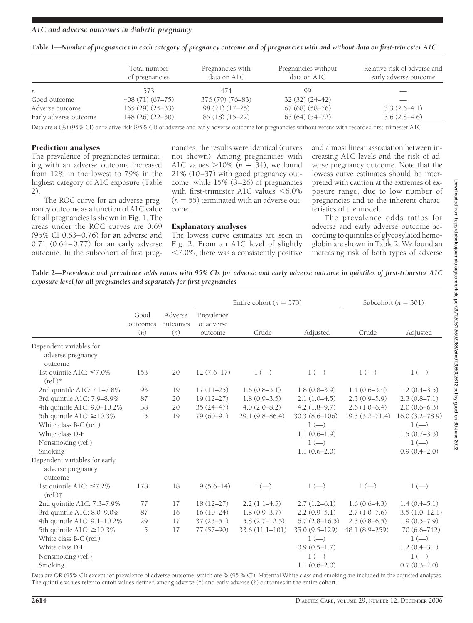| Table 1—Number of pregnancies in each category of pregnancy outcome and of pregnancies with and without data on first-trimester A1C |  |  |
|-------------------------------------------------------------------------------------------------------------------------------------|--|--|
|-------------------------------------------------------------------------------------------------------------------------------------|--|--|

|                       | Total number<br>of pregnancies | Pregnancies with<br>data on A1C | Pregnancies without<br>data on A1C | Relative risk of adverse and<br>early adverse outcome |  |
|-----------------------|--------------------------------|---------------------------------|------------------------------------|-------------------------------------------------------|--|
| n                     | 573                            | 474                             | -99                                |                                                       |  |
| Good outcome          | $408(71)(67-75)$               | $376(79)(76-83)$                | $32(32)(24-42)$                    |                                                       |  |
| Adverse outcome       | $165(29)(25-33)$               | $98(21)(17-25)$                 | $67(68)(58-76)$                    | $3.3(2.6-4.1)$                                        |  |
| Early adverse outcome | 148 (26) (22-30)               | $85(18)(15-22)$                 | $63(64)(54-72)$                    | $3.6(2.8-4.6)$                                        |  |

Data are *n* (%) (95% CI) or relative risk (95% CI) of adverse and early adverse outcome for pregnancies without versus with recorded first-trimester A1C.

## Prediction analyses

The prevalence of pregnancies terminating with an adverse outcome increased from 12% in the lowest to 79% in the highest category of A1C exposure (Table 2).

The ROC curve for an adverse pregnancy outcome as a function of A1C value for all pregnancies is shown in Fig. 1. The areas under the ROC curves are 0.69 (95% CI 0.63–0.76) for an adverse and 0.71 (0.64–0.77) for an early adverse outcome. In the subcohort of first preg-

nancies, the results were identical (curves not shown). Among pregnancies with A1C values  $>$ 10% ( $n = 34$ ), we found 21% (10–37) with good pregnancy outcome, while 15% (8–26) of pregnancies with first-trimester A1C values  $\leq 6.0\%$  $(n = 55)$  terminated with an adverse outcome.

# Explanatory analyses

The lowess curve estimates are seen in Fig. 2. From an A1C level of slightly -7.0%, there was a consistently positive

and almost linear association between increasing A1C levels and the risk of adverse pregnancy outcome. Note that the lowess curve estimates should be interpreted with caution at the extremes of exposure range, due to low number of pregnancies and to the inherent characteristics of the model.

The prevalence odds ratios for adverse and early adverse outcome according to quintiles of glycosylated hemoglobin are shown in Table 2. We found an increasing risk of both types of adverse

**Table 2—***Prevalence and prevalence odds ratios with 95% CIs for adverse and early adverse outcome in quintiles of first-trimester A1C exposure level for all pregnancies and separately for first pregnancies*

|                                                               |                         | Adverse<br>outcomes<br>(n) | Entire cohort ( $n = 573$ )         |                    |                   | Subcohort ( $n = 301$ ) |                    |
|---------------------------------------------------------------|-------------------------|----------------------------|-------------------------------------|--------------------|-------------------|-------------------------|--------------------|
|                                                               | Good<br>outcomes<br>(n) |                            | Prevalence<br>of adverse<br>outcome | Crude              | Adjusted          | Crude                   | Adjusted           |
| Dependent variables for                                       |                         |                            |                                     |                    |                   |                         |                    |
| adverse pregnancy<br>outcome                                  |                         |                            |                                     |                    |                   |                         |                    |
| 1st quintile A1C: ≤7.0%<br>$(ref.)^*$                         | 153                     | 20                         | $12(7.6-17)$                        | $1(-)$             | $1(-)$            | $1(-)$                  | $1(-)$             |
| 2nd quintile A1C: 7.1-7.8%                                    | 93                      | 19                         | $17(11-25)$                         | $1.6(0.8-3.1)$     | $1.8(0.8-3.9)$    | $1.4(0.6-3.4)$          | $1.2(0.4-3.5)$     |
| 3rd quintile A1C: 7.9-8.9%                                    | 87                      | 20                         | $19(12-27)$                         | $1.8(0.9-3.5)$     | $2.1(1.0-4.5)$    | $2.3(0.9-5.9)$          | $2.3(0.8-7.1)$     |
| 4th quintile A1C: 9.0-10.2%                                   | 38                      | 20                         | $35(24 - 47)$                       | $4.0(2.0 - 8.2)$   | $4.2(1.8-9.7)$    | $2.6(1.0-6.4)$          | $2.0(0.6-6.3)$     |
| 5th quintile A1C: $\geq$ 10.3%                                | 5                       | 19                         | 79 (60-91)                          | $29.1(9.8 - 86.4)$ | $30.3(8.6 - 106)$ | $19.3(5.2 - 71.4)$      | $16.0(3.2 - 78.9)$ |
| White class B-C (ref.)                                        |                         |                            |                                     |                    | $1(-)$            |                         | $1(-)$             |
| White class D-F                                               |                         |                            |                                     |                    | $1.1(0.6-1.9)$    |                         | $1.5(0.7-3.3)$     |
| Nonsmoking (ref.)                                             |                         |                            |                                     |                    | $1(-)$            |                         | $1(-)$             |
| Smoking                                                       |                         |                            |                                     |                    | $1.1(0.6-2.0)$    |                         | $0.9(0.4 - 2.0)$   |
| Dependent variables for early<br>adverse pregnancy<br>outcome |                         |                            |                                     |                    |                   |                         |                    |
| 1st quintile A1C: $\leq 7.2\%$                                | 178                     | 18                         | $9(5.6 - 14)$                       | $1(-)$             | $1(-)$            | $1(-)$                  | $1(-)$             |
| $(ref.)\dagger$                                               |                         |                            |                                     |                    |                   |                         |                    |
| 2nd quintile A1C: 7.3-7.9%                                    | 77                      | 17                         | 18 (12-27)                          | $2.2(1.1-4.5)$     | $2.7(1.2-6.1)$    | $1.6(0.6-4.3)$          | $1.4(0.4-5.1)$     |
| 3rd quintile A1C: 8.0-9.0%                                    | 87                      | 16                         | $16(10-24)$                         | $1.8(0.9-3.7)$     | $2.2(0.9-5.1)$    | $2.7(1.0 - 7.6)$        | $3.5(1.0-12.1)$    |
| 4th quintile A1C: 9.1-10.2%                                   | 29                      | 17                         | $37(25 - 51)$                       | $5.8(2.7-12.5)$    | $6.7(2.8-16.5)$   | $2.3(0.8-6.5)$          | $1.9(0.5 - 7.9)$   |
| 5th quintile A1C: $\geq$ 10.3%                                | 5                       | 17                         | 77 (57-90)                          | 33.6 (11.1-101)    | 35.0 (9.5-129)    | 48.1 (8.9-259)          | 70 (6.6-742)       |
| White class B-C (ref.)                                        |                         |                            |                                     |                    | $1(-)$            |                         | $1(-)$             |
| White class D-F                                               |                         |                            |                                     |                    | $0.9(0.5-1.7)$    |                         | $1.2(0.4-3.1)$     |
| Nonsmoking (ref.)                                             |                         |                            |                                     |                    | $1(-)$            |                         | $1(-)$             |
| Smoking                                                       |                         |                            |                                     |                    | $1.1(0.6-2.0)$    |                         | $0.7(0.3 - 2.0)$   |

Data are OR (95% CI) except for prevalence of adverse outcome, which are % (95 % CI). Maternal White class and smoking are included in the adjusted analyses. The quintile values refer to cutoff values defined among adverse (\*) and early adverse (†) outcomes in the entire cohort.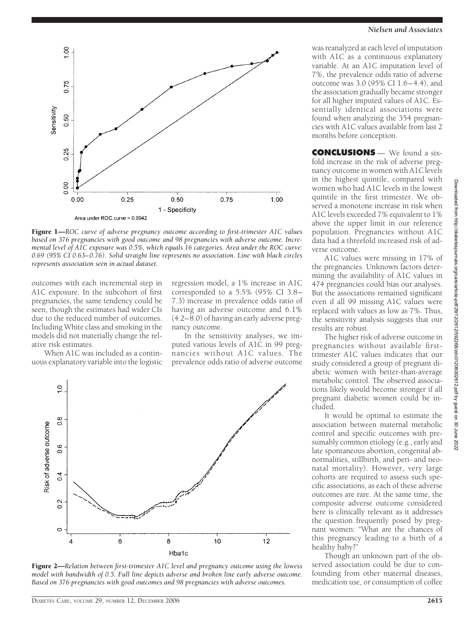

Figure 1—*ROC curve of adverse pregnancy outcome according to first-trimester A1C values based on 376 pregnancies with good outcome and 98 pregnancies with adverse outcome. Incremental level of A1C exposure was 0.5%, which equals 16 categories. Area under the ROC curve: 0.69 (95% CI 0.63– 0.76). Solid straight line represents no association. Line with black circles represents association seen in actual dataset.*

outcomes with each incremental step in A1C exposure. In the subcohort of first pregnancies, the same tendency could be seen, though the estimates had wider CIs due to the reduced number of outcomes. Including White class and smoking in the models did not materially change the relative risk estimates.

When A1C was included as a continuous explanatory variable into the logistic regression model, a 1% increase in A1C corresponded to a 5.5% (95% CI 3.8– 7.3) increase in prevalence odds ratio of having an adverse outcome and 6.1% (4.2–8.0) of having an early adverse pregnancy outcome.

In the sensitivity analyses, we imputed various levels of A1C in 99 pregnancies without A1C values. The prevalence odds ratio of adverse outcome



Figure 2—*Relation between first-trimester A1C level and pregnancy outcome using the lowess model with bandwidth of 0.5. Full line depicts adverse and broken line early adverse outcome. Based on 376 pregnancies with good outcomes and 98 pregnancies with adverse outcomes.*

#### *Nielsen and Associates*

was reanalyzed at each level of imputation with A1C as a continuous explanatory variable. At an A1C imputation level of 7%, the prevalence odds ratio of adverse outcome was 3.0 (95% CI 1.6–4.4), and the association gradually became stronger for all higher imputed values of A1C. Essentially identical associations were found when analyzing the 354 pregnancies with A1C values available from last 2 months before conception.

**CONCLUSIONS** — We found a sixfold increase in the risk of adverse pregnancy outcome in women with A1C levels in the highest quintile, compared with women who had A1C levels in the lowest quintile in the first trimester. We observed a monotone increase in risk when A1C levels exceeded 7% equivalent to 1% above the upper limit in our reference population. Pregnancies without A1C data had a threefold increased risk of adverse outcome.

A1C values were missing in 17% of the pregnancies. Unknown factors determining the availability of A1C values in 474 pregnancies could bias our analyses. But the associations remained significant even if all 99 missing A1C values were replaced with values as low as 7%. Thus, the sensitivity analysis suggests that our results are robust.

The higher risk of adverse outcome in pregnancies without available firsttrimester A1C values indicates that our study considered a group of pregnant diabetic women with better-than-average metabolic control. The observed associations likely would become stronger if all pregnant diabetic women could be included.

It would be optimal to estimate the association between maternal metabolic control and specific outcomes with presumably common etiology (e.g., early and late spontaneous abortion, congenital abnormalities, stillbirth, and peri- and neonatal mortality). However, very large cohorts are required to assess such specific associations, as each of these adverse outcomes are rare. At the same time, the composite adverse outcome considered here is clinically relevant as it addresses the question frequently posed by pregnant women: "What are the chances of this pregnancy leading to a birth of a healthy baby?"

Though an unknown part of the observed association could be due to confounding from other maternal diseases, medication use, or consumption of coffee